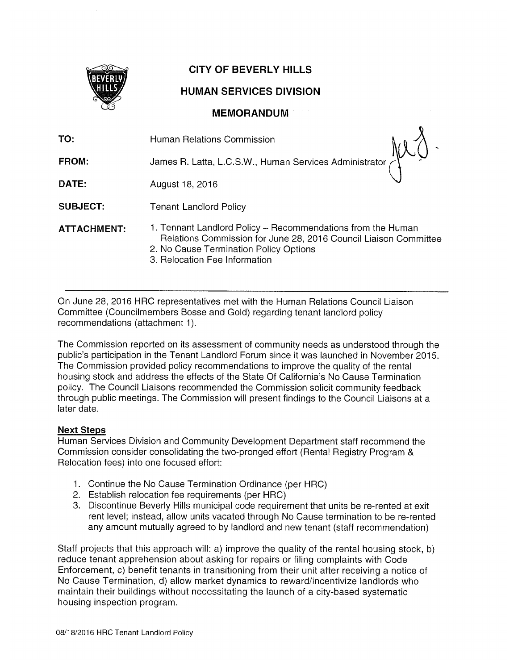

# CITY OF BEVERLY HILLS

# HUMAN SERVICES DIVISION

# MEMORANDUM

 $\mathbf{r}$ 

| TO:                | Human Relations Commission                                                                                                                                                                                 |
|--------------------|------------------------------------------------------------------------------------------------------------------------------------------------------------------------------------------------------------|
| <b>FROM:</b>       | James R. Latta, L.C.S.W., Human Services Administrator                                                                                                                                                     |
| DATE:              | August 18, 2016                                                                                                                                                                                            |
| <b>SUBJECT:</b>    | <b>Tenant Landlord Policy</b>                                                                                                                                                                              |
| <b>ATTACHMENT:</b> | 1. Tennant Landlord Policy – Recommendations from the Human<br>Relations Commission for June 28, 2016 Council Liaison Committee<br>2. No Cause Termination Policy Options<br>3. Relocation Fee Information |

On June 28, 2016 HRC representatives met with the Human Relations Council Liaison Committee (Councilmembers Bosse and Gold) regarding tenant landlord policy recommendations (attachment 1).

The Commission reported on its assessment of community needs as understood through the public's participation in the Tenant Landlord Forum since it was launched in November 2015. The Commission provided policy recommendations to improve the quality of the rental housing stock and address the effects of the State Of California's No Cause Termination policy. The Council Liaisons recommended the Commission solicit community feedback through public meetings. The Commission will present findings to the Council Liaisons at a later date.

## Next Steps

Human Services Division and Community Development Department staff recommend the Commission consider consolidating the two-pronged effort (Rental Registry Program & Relocation fees) into one focused effort:

- 1. Continue the No Cause Termination Ordinance (per HRC)
- 2. Establish relocation fee requirements (per HRC)
- 3. Discontinue Beverly Hills municipal code requirement that units be re-rented at exit rent level; instead, allow units vacated through No Cause termination to be re-rented any amount mutually agreed to by landlord and new tenant (staff recommendation)

Staff projects that this approach will: a) improve the quality of the rental housing stock, b) reduce tenant apprehension about asking for repairs or filing complaints with Code Enforcement, c) benefit tenants in transitioning from their unit after receiving a notice of No Cause Termination, d) allow market dynamics to reward/incentivize landlords who maintain their buildings without necessitating the launch of a city-based systematic housing inspection program.